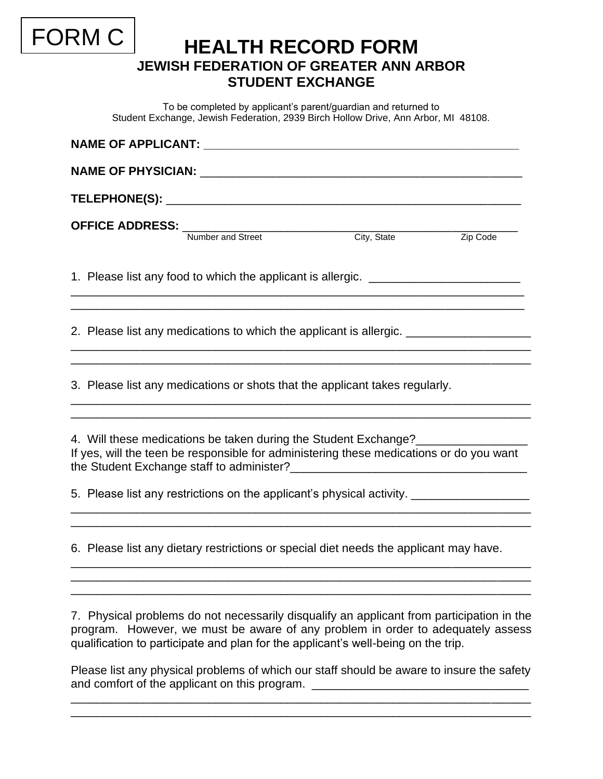FORM C

GGA

## **HEALTH RECORD FORM JEWISH FEDERATION OF GREATER ANN ARBOR STUDENT EXCHANGE**

To be completed by applicant's parent/guardian and returned to Student Exchange, Jewish Federation, 2939 Birch Hollow Drive, Ann Arbor, MI 48108.

| NAME OF APPLICANT: And Allen and Allen and Allen and Allen and Allen and Allen and Allen and Allen and Allen |                                                                                                                                                                                                                                                                                                                                                                |             |          |
|--------------------------------------------------------------------------------------------------------------|----------------------------------------------------------------------------------------------------------------------------------------------------------------------------------------------------------------------------------------------------------------------------------------------------------------------------------------------------------------|-------------|----------|
|                                                                                                              |                                                                                                                                                                                                                                                                                                                                                                |             |          |
|                                                                                                              | OFFICE ADDRESS: Number and Street                                                                                                                                                                                                                                                                                                                              | City, State | Zip Code |
|                                                                                                              | 1. Please list any food to which the applicant is allergic. ____________________                                                                                                                                                                                                                                                                               |             |          |
|                                                                                                              | 2. Please list any medications to which the applicant is allergic. ______________                                                                                                                                                                                                                                                                              |             |          |
|                                                                                                              | 3. Please list any medications or shots that the applicant takes regularly.                                                                                                                                                                                                                                                                                    |             |          |
|                                                                                                              | 4. Will these medications be taken during the Student Exchange?<br>If yes, will the teen be responsible for administering these medications or do you want                                                                                                                                                                                                     |             |          |
|                                                                                                              | 5. Please list any restrictions on the applicant's physical activity. _________________                                                                                                                                                                                                                                                                        |             |          |
|                                                                                                              | 6. Please list any dietary restrictions or special diet needs the applicant may have.                                                                                                                                                                                                                                                                          |             |          |
|                                                                                                              | 7. Physical problems do not necessarily disqualify an applicant from participation in the<br>program. However, we must be aware of any problem in order to adequately assess<br>qualification to participate and plan for the applicant's well-being on the trip.<br>Please list any physical problems of which our staff should be aware to insure the safety |             |          |

and comfort of the applicant on this program. \_\_\_\_\_\_\_\_\_\_\_\_\_\_\_\_\_\_\_\_\_\_\_\_\_\_\_\_\_\_\_\_\_\_\_ \_\_\_\_\_\_\_\_\_\_\_\_\_\_\_\_\_\_\_\_\_\_\_\_\_\_\_\_\_\_\_\_\_\_\_\_\_\_\_\_\_\_\_\_\_\_\_\_\_\_\_\_\_\_\_\_\_\_\_\_\_\_\_\_\_\_\_\_\_\_ \_\_\_\_\_\_\_\_\_\_\_\_\_\_\_\_\_\_\_\_\_\_\_\_\_\_\_\_\_\_\_\_\_\_\_\_\_\_\_\_\_\_\_\_\_\_\_\_\_\_\_\_\_\_\_\_\_\_\_\_\_\_\_\_\_\_\_\_\_\_